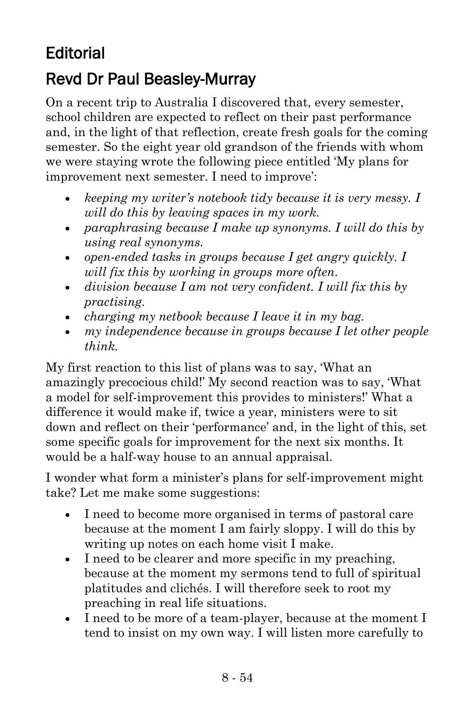## **Editorial**

## Revd Dr Paul Beasley-Murray

On a recent trip to Australia I discovered that, every semester, school children are expected to reflect on their past performance and, in the light of that reflection, create fresh goals for the coming semester. So the eight year old grandson of the friends with whom we were staying wrote the following piece entitled 'My plans for improvement next semester. I need to improve':

- *keeping my writer's notebook tidy because it is very messy. I will do this by leaving spaces in my work.*
- *paraphrasing because I make up synonyms. I will do this by using real synonyms.*
- *open-ended tasks in groups because I get angry quickly. I will fix this by working in groups more often.*
- *division because I am not very confident. I will fix this by practising.*
- *charging my netbook because I leave it in my bag.*
- *my independence because in groups because I let other people think.*

My first reaction to this list of plans was to say, 'What an amazingly precocious child!' My second reaction was to say, 'What a model for self-improvement this provides to ministers!' What a difference it would make if, twice a year, ministers were to sit down and reflect on their 'performance' and, in the light of this, set some specific goals for improvement for the next six months. It would be a half-way house to an annual appraisal.

I wonder what form a minister's plans for self-improvement might take? Let me make some suggestions:

- I need to become more organised in terms of pastoral care because at the moment I am fairly sloppy. I will do this by writing up notes on each home visit I make.
- I need to be clearer and more specific in my preaching, because at the moment my sermons tend to full of spiritual platitudes and clichés. I will therefore seek to root my preaching in real life situations.
- I need to be more of a team-player, because at the moment I tend to insist on my own way. I will listen more carefully to